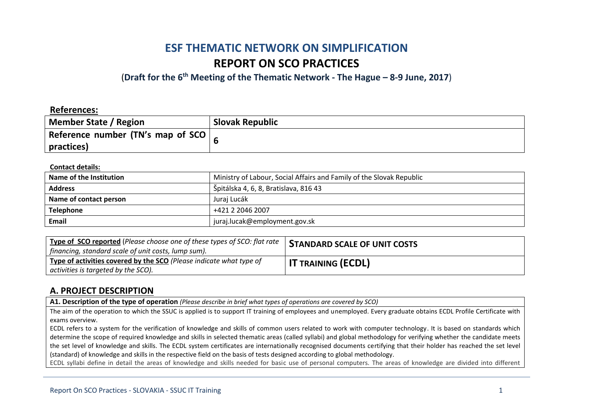# **ESF THEMATIC NETWORK ON SIMPLIFICATION REPORT ON SCO PRACTICES**

(**Draft for the 6th Meeting of the Thematic Network - The Hague – 8-9 June, 2017**)

### **References:**

| Member State / Region              | <b>Slovak Republic</b> |
|------------------------------------|------------------------|
| Reference number (TN's map of SCO) |                        |
| practices)                         |                        |

### **Contact details:**

| Name of the Institution | Ministry of Labour, Social Affairs and Family of the Slovak Republic |  |
|-------------------------|----------------------------------------------------------------------|--|
| <b>Address</b>          | Špitálska 4, 6, 8, Bratislava, 816 43                                |  |
| Name of contact person  | Juraj Lucák                                                          |  |
| <b>Telephone</b>        | +421 2 2046 2007                                                     |  |
| <b>Email</b>            | juraj.lucak@employment.gov.sk                                        |  |

| <b>Type of SCO reported</b> (Please choose one of these types of SCO: flat rate  <br>financing, standard scale of unit costs, lump sum). | <b>STANDARD SCALE OF UNIT COSTS</b> |
|------------------------------------------------------------------------------------------------------------------------------------------|-------------------------------------|
| Type of activities covered by the SCO (Please indicate what type of<br>activities is targeted by the SCO).                               | <b>IT TRAINING (ECDL)</b>           |

## **A. PROJECT DESCRIPTION**

**A1. Description of the type of operation** *(Please describe in brief what types of operations are covered by SCO)*

The aim of the operation to which the SSUC is applied is to support IT training of employees and unemployed. Every graduate obtains ECDL Profile Certificate with exams overview.

ECDL refers to a system for the verification of knowledge and skills of common users related to work with computer technology. It is based on standards which determine the scope of required knowledge and skills in selected thematic areas (called syllabi) and global methodology for verifying whether the candidate meets the set level of knowledge and skills. The ECDL system certificates are internationally recognised documents certifying that their holder has reached the set level (standard) of knowledge and skills in the respective field on the basis of tests designed according to global methodology.

ECDL syllabi define in detail the areas of knowledge and skills needed for basic use of personal computers. The areas of knowledge are divided into different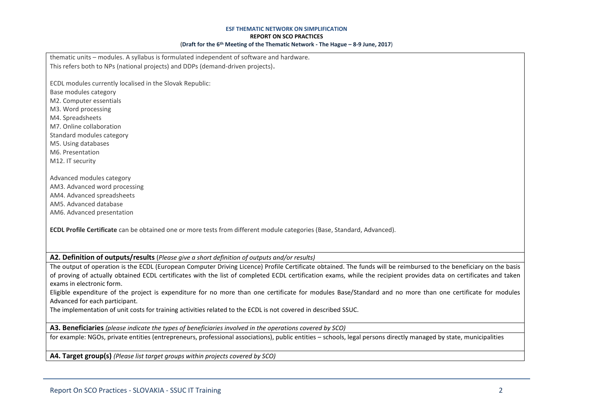#### **ESF THEMATIC NETWORK ON SIMPLIFICATION**

#### **REPORT ON SCO PRACTICES**

#### (**Draft for the 6th Meeting of the Thematic Network - The Hague – 8-9 June, 2017**)

thematic units – modules. A syllabus is formulated independent of software and hardware. This refers both to NPs (national projects) and DDPs (demand-driven projects).

ECDL modules currently localised in the Slovak Republic:

- Base modules category
- M2. Computer essentials
- M3. Word processing
- M4. Spreadsheets
- M7. Online collaboration
- Standard modules category M5. Using databases
- M6. Presentation
- M12. IT security
- Advanced modules category AM3. Advanced word processing AM4. Advanced spreadsheets AM5. Advanced database AM6. Advanced presentation

**ECDL Profile Certificate** can be obtained one or more tests from different module categories (Base, Standard, Advanced).

**A2. Definition of outputs/results** (*Please give a short definition of outputs and/or results)*

The output of operation is the ECDL (European Computer Driving Licence) Profile Certificate obtained. The funds will be reimbursed to the beneficiary on the basis of proving of actually obtained ECDL certificates with the list of completed ECDL certification exams, while the recipient provides data on certificates and taken exams in electronic form.

Eligible expenditure of the project is expenditure for no more than one certificate for modules Base/Standard and no more than one certificate for modules Advanced for each participant.

The implementation of unit costs for training activities related to the ECDL is not covered in described SSUC.

**A3. Beneficiaries** *(please indicate the types of beneficiaries involved in the operations covered by SCO)*

for example: NGOs, private entities (entrepreneurs, professional associations), public entities – schools, legal persons directly managed by state, municipalities

**A4. Target group(s)** *(Please list target groups within projects covered by SCO)*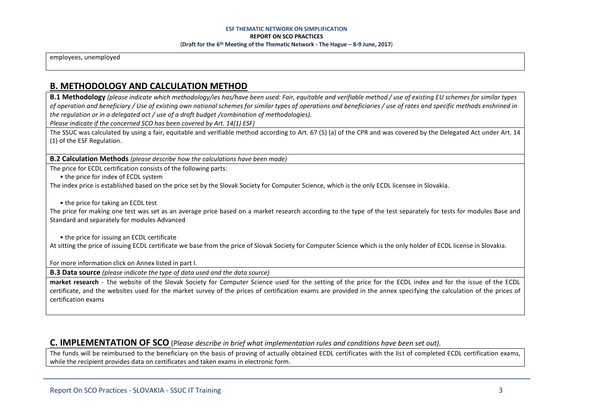### **ESF THEMATIC NETWORK ON SIMPLIFICATION REPORT ON SCO PRACTICES** (**Draft for the 6th Meeting of the Thematic Network - The Hague – 8-9 June, 2017**)

employees, unemployed

## **B. METHODOLOGY AND CALCULATION METHOD**

**B.1 Methodology** *(please indicate which methodology/ies has/have been used: Fair, equitable and verifiable method / use of existing EU schemes for similar types of operation and beneficiary / Use of existing own national schemes for similar types of operations and beneficiaries / use of rates and specific methods enshrined in the regulation or in a delegated act / use of a draft budget /combination of methodologies).*

*Please indicate if the concerned SCO has been covered by Art. 14(1) ESF)*

The SSUC was calculated by using a fair, equitable and verifiable method according to Art. 67 (5) (a) of the CPR and was covered by the Delegated Act under Art. 14 (1) of the ESF Regulation.

**B.2 Calculation Methods** *(please describe how the calculations have been made)*

The price for ECDL certification consists of the following parts:

• the price for index of ECDL system

The index price is established based on the price set by the Slovak Society for Computer Science, which is the only ECDL licensee in Slovakia.

• the price for taking an ECDL test

The price for making one test was set as an average price based on a market research according to the type of the test separately for tests for modules Base and Standard and separately for modules Advanced

• the price for issuing an ECDL certificate

At sitting the price of issuing ECDL certificate we base from the price of Slovak Society for Computer Science which is the only holder of ECDL license in Slovakia.

For more information click on Annex listed in part I.

**B.3 Data source** *(please indicate the type of data used and the data source)*

**market research** - the website of the Slovak Society for Computer Science used for the setting of the price for the ECDL index and for the issue of the ECDL certificate, and the websites used for the market survey of the prices of certification exams are provided in the annex specifying the calculation of the prices of certification exams

### **C. IMPLEMENTATION OF SCO** (*Please describe in brief what implementation rules and conditions have been set out).*

The funds will be reimbursed to the beneficiary on the basis of proving of actually obtained ECDL certificates with the list of completed ECDL certification exams, while the recipient provides data on certificates and taken exams in electronic form.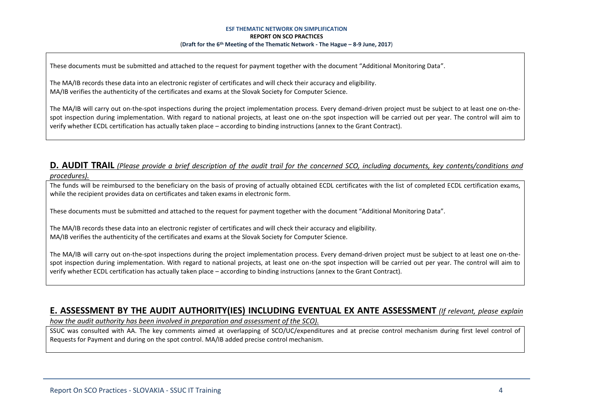#### **ESF THEMATIC NETWORK ON SIMPLIFICATION REPORT ON SCO PRACTICES** (**Draft for the 6th Meeting of the Thematic Network - The Hague – 8-9 June, 2017**)

These documents must be submitted and attached to the request for payment together with the document "Additional Monitoring Data".

The MA/IB records these data into an electronic register of certificates and will check their accuracy and eligibility. MA/IB verifies the authenticity of the certificates and exams at the Slovak Society for Computer Science.

The MA/IB will carry out on-the-spot inspections during the project implementation process. Every demand-driven project must be subject to at least one on-thespot inspection during implementation. With regard to national projects, at least one on-the spot inspection will be carried out per year. The control will aim to verify whether ECDL certification has actually taken place – according to binding instructions (annex to the Grant Contract).

### **D. AUDIT TRAIL** *(Please provide a brief description of the audit trail for the concerned SCO, including documents, key contents/conditions and procedures).*

The funds will be reimbursed to the beneficiary on the basis of proving of actually obtained ECDL certificates with the list of completed ECDL certification exams, while the recipient provides data on certificates and taken exams in electronic form.

These documents must be submitted and attached to the request for payment together with the document "Additional Monitoring Data".

The MA/IB records these data into an electronic register of certificates and will check their accuracy and eligibility. MA/IB verifies the authenticity of the certificates and exams at the Slovak Society for Computer Science.

The MA/IB will carry out on-the-spot inspections during the project implementation process. Every demand-driven project must be subject to at least one on-thespot inspection during implementation. With regard to national projects, at least one on-the spot inspection will be carried out per year. The control will aim to verify whether ECDL certification has actually taken place – according to binding instructions (annex to the Grant Contract).

## **E. ASSESSMENT BY THE AUDIT AUTHORITY(IES) INCLUDING EVENTUAL EX ANTE ASSESSMENT** *(If relevant, please explain*

*how the audit authority has been involved in preparation and assessment of the SCO).* 

SSUC was consulted with AA. The key comments aimed at overlapping of SCO/UC/expenditures and at precise control mechanism during first level control of Requests for Payment and during on the spot control. MA/IB added precise control mechanism.